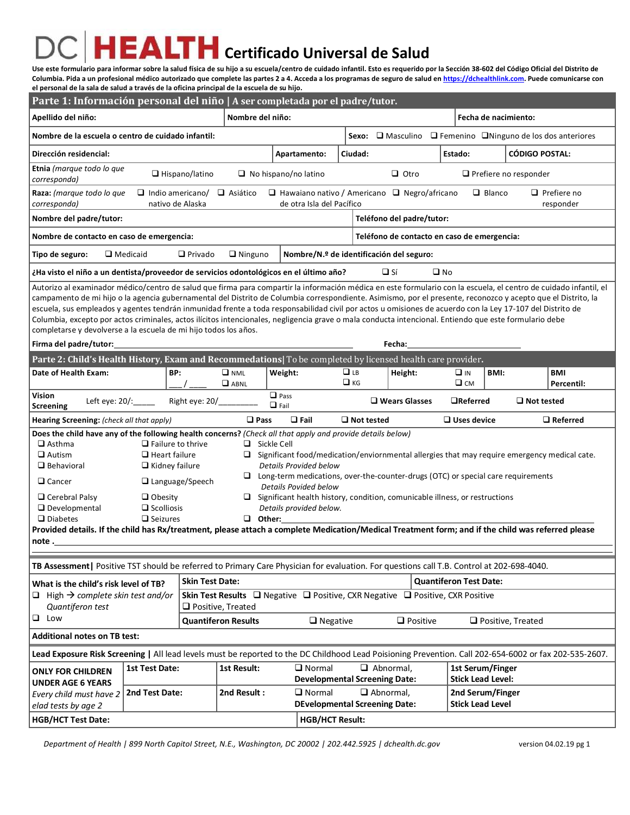## **EALTH** Certificado Universal de Salud

**Use este formulario para informar sobre la salud física de su hijo a su escuela/centro de cuidado infantil. Esto es requerido por la Sección 38-602 del Código Oficial del Distrito de Columbia. Pida a un profesional médico autorizado que complete las partes 2 a 4. Acceda a los programas de seguro de salud e[n https://dchealthlink.com.](https://dchealthlink.com/) Puede comunicarse con el personal de la sala de salud a través de la oficina principal de la escuela de su hijo.**

| Apellido del niño:<br>Nombre del niño:<br>Fecha de nacimiento:<br>Nombre de la escuela o centro de cuidado infantil:<br>$\Box$ Masculino $\Box$ Femenino $\Box$ Ninguno de los dos anteriores<br>Sexo:<br>Dirección residencial:<br>Ciudad:<br><b>CÓDIGO POSTAL:</b><br>Apartamento:<br>Estado:<br>Etnia (marque todo lo que<br>$\Box$ Otro<br>$\Box$ Hispano/latino<br>$\Box$ No hispano/no latino<br>$\Box$ Prefiere no responder<br>corresponda)<br>$\Box$ Prefiere no<br>$\Box$ Indio americano/<br>$\Box$ Hawaiano nativo / Americano $\Box$ Negro/africano<br>Raza: (marque todo lo que<br>$\Box$ Asiático<br>$\Box$ Blanco<br>corresponda)<br>nativo de Alaska<br>de otra Isla del Pacífico<br>responder                                                                                                                                                                                                                                                                                                    |  |
|--------------------------------------------------------------------------------------------------------------------------------------------------------------------------------------------------------------------------------------------------------------------------------------------------------------------------------------------------------------------------------------------------------------------------------------------------------------------------------------------------------------------------------------------------------------------------------------------------------------------------------------------------------------------------------------------------------------------------------------------------------------------------------------------------------------------------------------------------------------------------------------------------------------------------------------------------------------------------------------------------------------------|--|
|                                                                                                                                                                                                                                                                                                                                                                                                                                                                                                                                                                                                                                                                                                                                                                                                                                                                                                                                                                                                                    |  |
|                                                                                                                                                                                                                                                                                                                                                                                                                                                                                                                                                                                                                                                                                                                                                                                                                                                                                                                                                                                                                    |  |
|                                                                                                                                                                                                                                                                                                                                                                                                                                                                                                                                                                                                                                                                                                                                                                                                                                                                                                                                                                                                                    |  |
|                                                                                                                                                                                                                                                                                                                                                                                                                                                                                                                                                                                                                                                                                                                                                                                                                                                                                                                                                                                                                    |  |
|                                                                                                                                                                                                                                                                                                                                                                                                                                                                                                                                                                                                                                                                                                                                                                                                                                                                                                                                                                                                                    |  |
| Nombre del padre/tutor:<br>Teléfono del padre/tutor:                                                                                                                                                                                                                                                                                                                                                                                                                                                                                                                                                                                                                                                                                                                                                                                                                                                                                                                                                               |  |
| Teléfono de contacto en caso de emergencia:<br>Nombre de contacto en caso de emergencia:                                                                                                                                                                                                                                                                                                                                                                                                                                                                                                                                                                                                                                                                                                                                                                                                                                                                                                                           |  |
| $\Box$ Medicaid<br>$\Box$ Privado<br>$\Box$ Ninguno<br>Nombre/N.º de identificación del seguro:<br>Tipo de seguro:                                                                                                                                                                                                                                                                                                                                                                                                                                                                                                                                                                                                                                                                                                                                                                                                                                                                                                 |  |
| $\Box$ Sí<br>$\square$ No<br>Ha visto el niño a un dentista/proveedor de servicios odontológicos en el último año?                                                                                                                                                                                                                                                                                                                                                                                                                                                                                                                                                                                                                                                                                                                                                                                                                                                                                                 |  |
| Autorizo al examinador médico/centro de salud que firma para compartir la información médica en este formulario con la escuela, el centro de cuidado infantil, el<br>campamento de mi hijo o la agencia gubernamental del Distrito de Columbia correspondiente. Asimismo, por el presente, reconozco y acepto que el Distrito, la<br>escuela, sus empleados y agentes tendrán inmunidad frente a toda responsabilidad civil por actos u omisiones de acuerdo con la Ley 17-107 del Distrito de<br>Columbia, excepto por actos criminales, actos ilícitos intencionales, negligencia grave o mala conducta intencional. Entiendo que este formulario debe<br>completarse y devolverse a la escuela de mi hijo todos los años.<br>Firma del padre/tutor:<br>Fecha:                                                                                                                                                                                                                                                   |  |
| Parte 2: Child's Health History, Exam and Recommedations  To be completed by licensed health care provider.                                                                                                                                                                                                                                                                                                                                                                                                                                                                                                                                                                                                                                                                                                                                                                                                                                                                                                        |  |
| Weight:<br>$\Box$ LB<br>Date of Health Exam:<br>BP:<br>$\Box$ NML<br>Height:<br>$\Box$ in<br>BMI:<br>BMI                                                                                                                                                                                                                                                                                                                                                                                                                                                                                                                                                                                                                                                                                                                                                                                                                                                                                                           |  |
| $\Box$ KG<br>$\square$ CM<br>$\Box$ ABNL<br>Percentil:                                                                                                                                                                                                                                                                                                                                                                                                                                                                                                                                                                                                                                                                                                                                                                                                                                                                                                                                                             |  |
| Vision<br>$\Box$ Pass<br>Right eye: 20/<br>Left eye: 20/:_____<br>$\Box$ Wears Glasses<br>$\Box$ Referred<br>$\Box$ Not tested<br>$\Box$ Fail<br><b>Screening</b>                                                                                                                                                                                                                                                                                                                                                                                                                                                                                                                                                                                                                                                                                                                                                                                                                                                  |  |
| $\Box$ Fail<br>$\square$ Pass<br>$\Box$ Not tested<br>$\Box$ Uses device<br>$\Box$ Referred<br>Hearing Screening: (check all that apply)                                                                                                                                                                                                                                                                                                                                                                                                                                                                                                                                                                                                                                                                                                                                                                                                                                                                           |  |
| Does the child have any of the following health concerns? (Check all that apply and provide details below)<br>$\square$ Asthma<br>$\Box$ Failure to thrive<br>$\Box$ Sickle Cell<br>$\square$ Autism<br>$\Box$ Heart failure<br>$\Box$ Significant food/medication/enviornmental allergies that may require emergency medical cate.<br><b>Details Provided below</b><br>$\square$ Behavioral<br>$\Box$ Kidney failure<br>$\Box$ Long-term medications, over-the-counter-drugs (OTC) or special care requirements<br>$\Box$ Cancer<br>$\Box$ Language/Speech<br>Details Povided below<br>$\Box$ Significant health history, condition, comunicable illness, or restructions<br>$\Box$ Cerebral Palsy<br>$\Box$ Obesity<br>$\Box$ Developmental<br>$\Box$ Scolliosis<br>Details provided below.<br>$\Box$ Seizures<br>$\Box$ Other:<br>$\Box$ Diabetes<br>Provided details. If the child has Rx/treatment, please attach a complete Medication/Medical Treatment form; and if the child was referred please<br>note. |  |
| TB Assessment   Positive TST should be referred to Primary Care Physician for evaluation. For questions call T.B. Control at 202-698-4040.                                                                                                                                                                                                                                                                                                                                                                                                                                                                                                                                                                                                                                                                                                                                                                                                                                                                         |  |
| <b>Skin Test Date:</b><br><b>Quantiferon Test Date:</b><br>What is the child's risk level of TB?                                                                                                                                                                                                                                                                                                                                                                                                                                                                                                                                                                                                                                                                                                                                                                                                                                                                                                                   |  |
| Skin Test Results □ Negative □ Positive, CXR Negative □ Positive, CXR Positive<br>$\Box$ High $\rightarrow$ complete skin test and/or<br>Quantiferon test<br>$\Box$ Positive, Treated                                                                                                                                                                                                                                                                                                                                                                                                                                                                                                                                                                                                                                                                                                                                                                                                                              |  |
| $\Box$ Low<br><b>Quantiferon Results</b><br>$\Box$ Negative<br>$\Box$ Positive<br>$\Box$ Positive, Treated                                                                                                                                                                                                                                                                                                                                                                                                                                                                                                                                                                                                                                                                                                                                                                                                                                                                                                         |  |
| <b>Additional notes on TB test:</b>                                                                                                                                                                                                                                                                                                                                                                                                                                                                                                                                                                                                                                                                                                                                                                                                                                                                                                                                                                                |  |
|                                                                                                                                                                                                                                                                                                                                                                                                                                                                                                                                                                                                                                                                                                                                                                                                                                                                                                                                                                                                                    |  |
| Lead Exposure Risk Screening   All lead levels must be reported to the DC Childhood Lead Poisioning Prevention. Call 202-654-6002 or fax 202-535-2607.                                                                                                                                                                                                                                                                                                                                                                                                                                                                                                                                                                                                                                                                                                                                                                                                                                                             |  |
| $\Box$ Normal<br>$\Box$ Abnormal,<br>1st Test Date:<br>1st Result:<br>1st Serum/Finger<br><b>ONLY FOR CHILDREN</b>                                                                                                                                                                                                                                                                                                                                                                                                                                                                                                                                                                                                                                                                                                                                                                                                                                                                                                 |  |
| <b>Developmental Screening Date:</b><br><b>Stick Lead Level:</b><br><b>UNDER AGE 6 YEARS</b>                                                                                                                                                                                                                                                                                                                                                                                                                                                                                                                                                                                                                                                                                                                                                                                                                                                                                                                       |  |
| $\Box$ Normal<br>$\Box$ Abnormal,<br>2nd Test Date:<br>2nd Result:<br>2nd Serum/Finger<br>Every child must have 2<br><b>DEvelopmental Screening Date:</b><br><b>Stick Lead Level</b><br>elad tests by age 2                                                                                                                                                                                                                                                                                                                                                                                                                                                                                                                                                                                                                                                                                                                                                                                                        |  |

*Department of Health | 899 North CapitoI Street, N.E., Washington, DC 20002 | 202.442.5925 | dchealth.dc.gov* version 04.02.19 pg 1